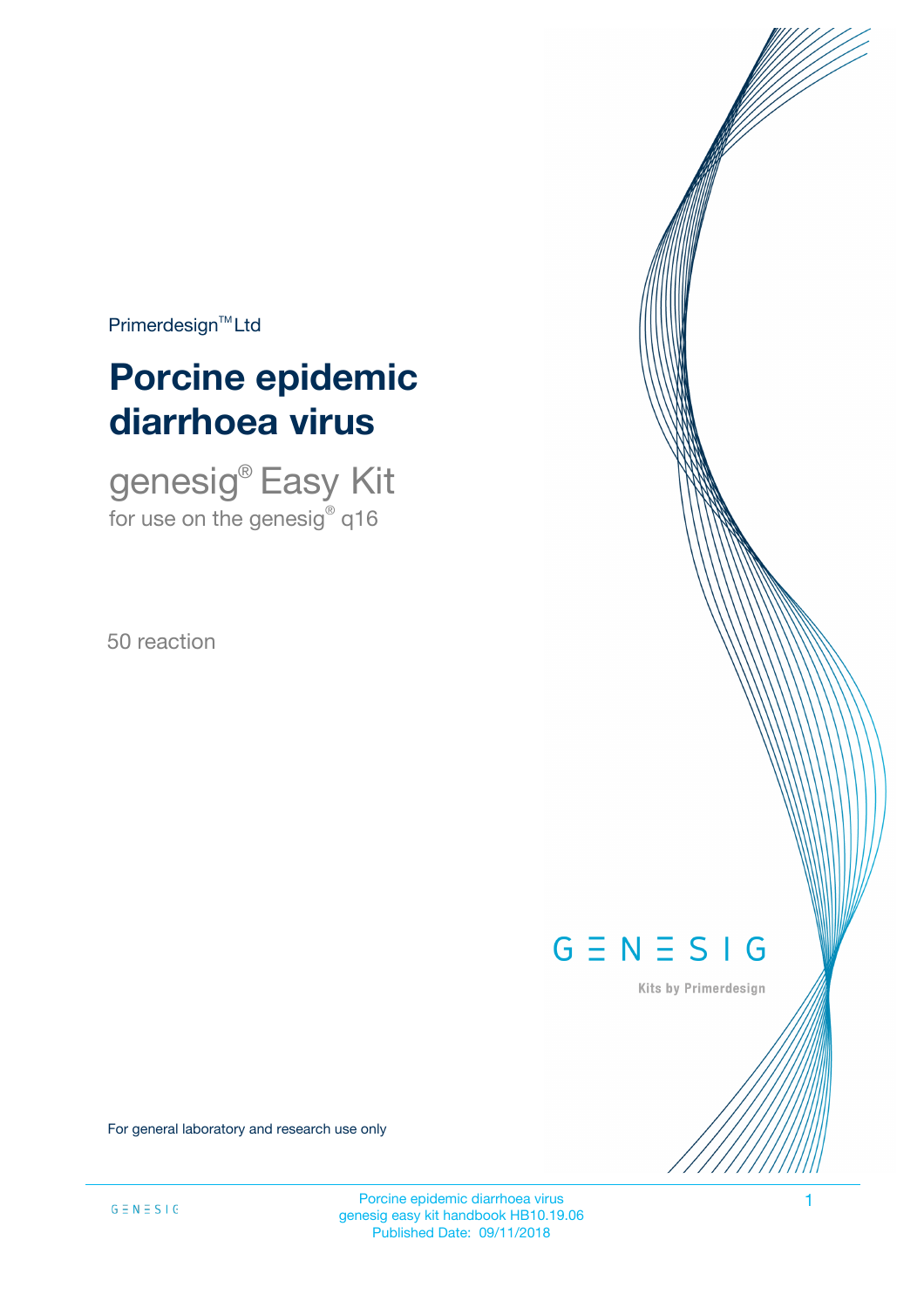$Primerdesign^{\text{TM}}$ Ltd

# **Porcine epidemic diarrhoea virus**

genesig® Easy Kit for use on the genesig $^\circ$  q16

50 reaction

# $G \equiv N \equiv S \mid G$

Kits by Primerdesign

For general laboratory and research use only

Porcine epidemic diarrhoea virus 1 genesig easy kit handbook HB10.19.06 Published Date: 09/11/2018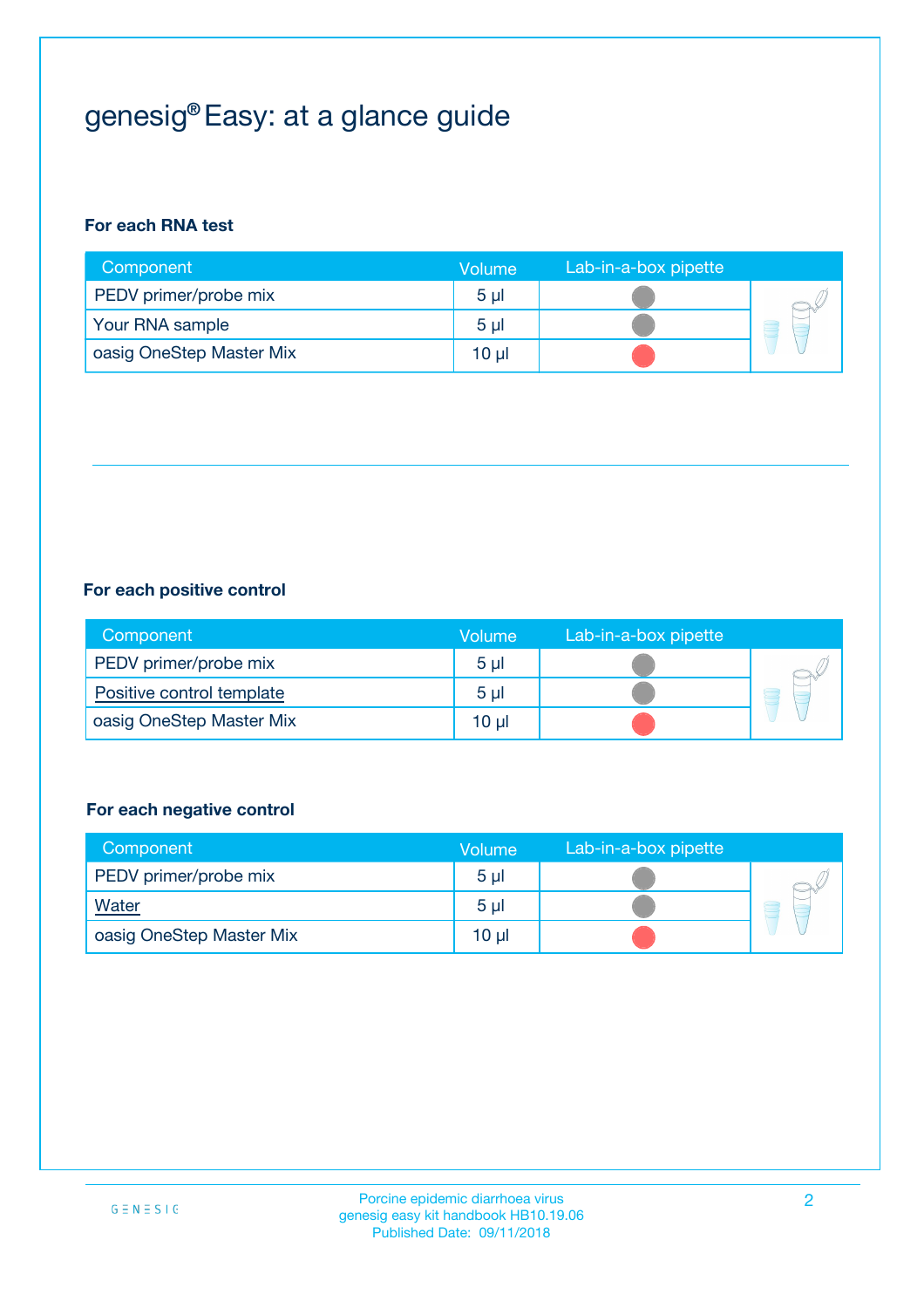## genesig® Easy: at a glance guide

#### **For each RNA test**

| Component                | <b>Volume</b>  | Lab-in-a-box pipette |  |
|--------------------------|----------------|----------------------|--|
| PEDV primer/probe mix    | 5 <sub>µ</sub> |                      |  |
| Your RNA sample          | 5 <sub>µ</sub> |                      |  |
| oasig OneStep Master Mix | 10 µl          |                      |  |

#### **For each positive control**

| Component                 | Volume         | Lab-in-a-box pipette |  |
|---------------------------|----------------|----------------------|--|
| PEDV primer/probe mix     | 5 <sub>µ</sub> |                      |  |
| Positive control template | 5 <sub>µ</sub> |                      |  |
| oasig OneStep Master Mix  | 10 µl          |                      |  |

#### **For each negative control**

| Component                | Volume         | Lab-in-a-box pipette |   |
|--------------------------|----------------|----------------------|---|
| PEDV primer/probe mix    | 5 <sub>µ</sub> |                      |   |
| <b>Water</b>             | 5 <sub>µ</sub> |                      | Ē |
| oasig OneStep Master Mix | $10 \mu$       |                      |   |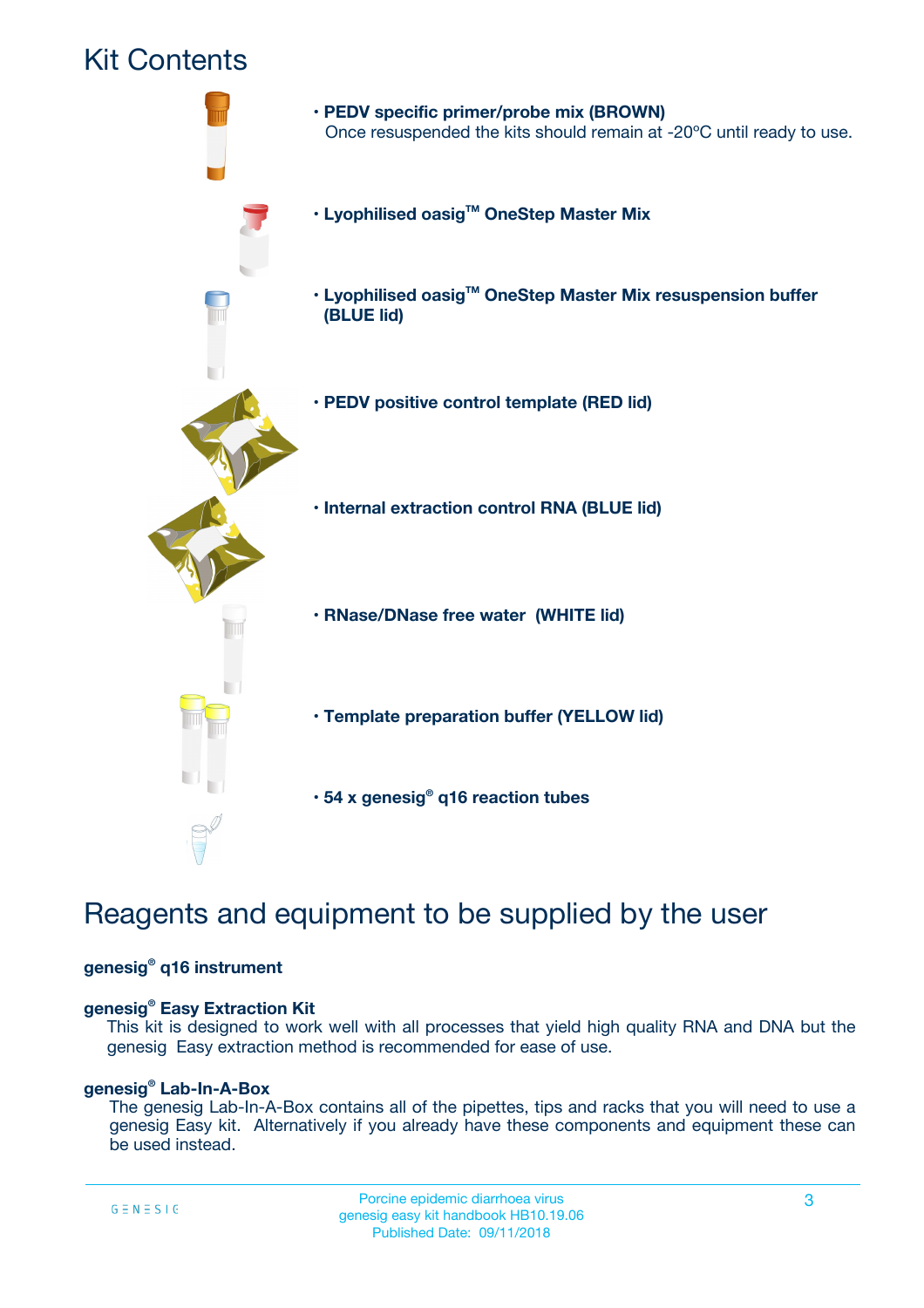### Kit Contents



### Reagents and equipment to be supplied by the user

#### **genesig® q16 instrument**

#### **genesig® Easy Extraction Kit**

This kit is designed to work well with all processes that yield high quality RNA and DNA but the genesig Easy extraction method is recommended for ease of use.

#### **genesig® Lab-In-A-Box**

The genesig Lab-In-A-Box contains all of the pipettes, tips and racks that you will need to use a genesig Easy kit. Alternatively if you already have these components and equipment these can be used instead.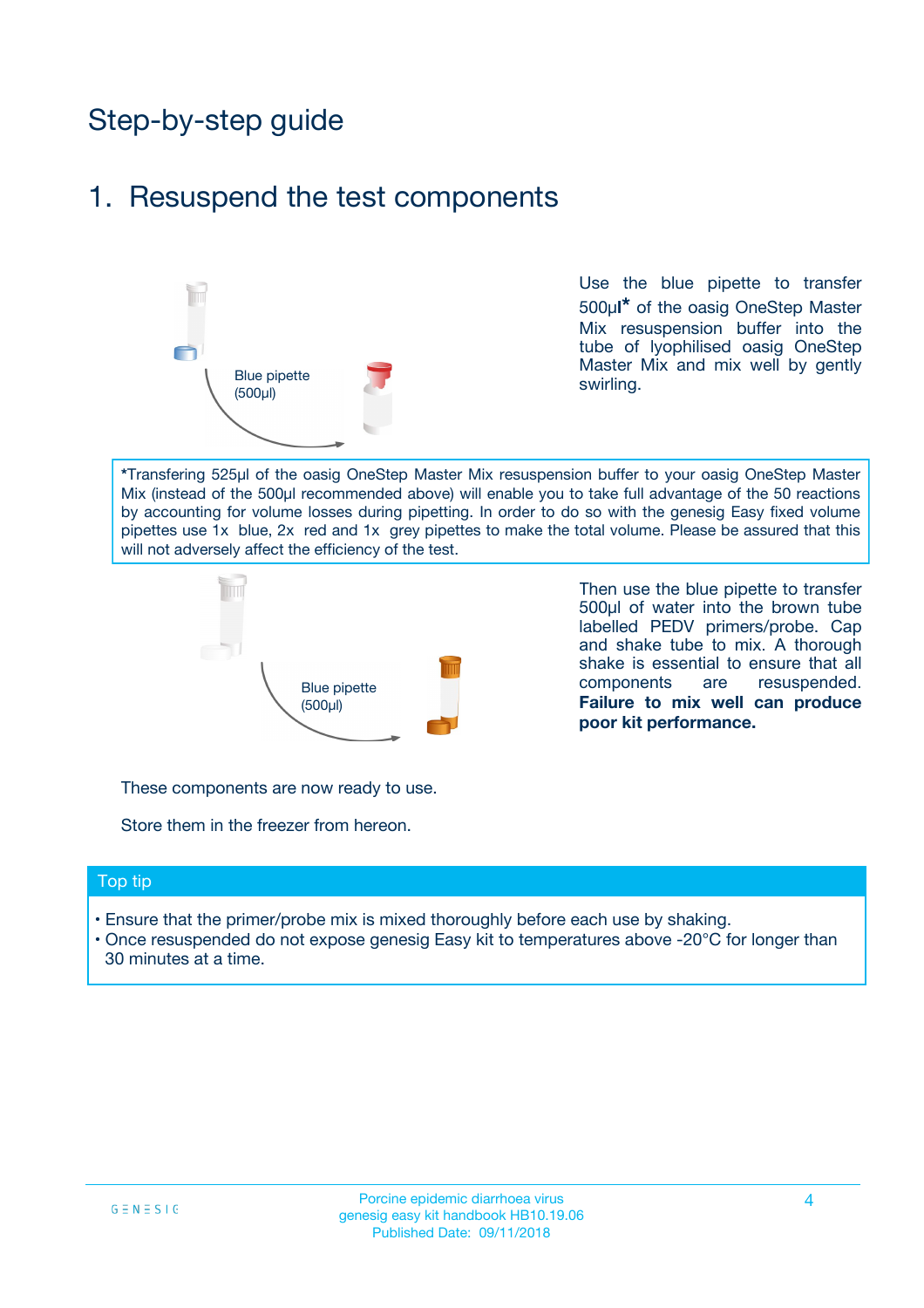## Step-by-step guide

### 1. Resuspend the test components



Use the blue pipette to transfer 500µ**l\*** of the oasig OneStep Master Mix resuspension buffer into the tube of lyophilised oasig OneStep Master Mix and mix well by gently swirling.

**\***Transfering 525µl of the oasig OneStep Master Mix resuspension buffer to your oasig OneStep Master Mix (instead of the 500µl recommended above) will enable you to take full advantage of the 50 reactions by accounting for volume losses during pipetting. In order to do so with the genesig Easy fixed volume pipettes use 1x blue, 2x red and 1x grey pipettes to make the total volume. Please be assured that this will not adversely affect the efficiency of the test.



Then use the blue pipette to transfer 500µl of water into the brown tube labelled PEDV primers/probe. Cap and shake tube to mix. A thorough shake is essential to ensure that all components are resuspended. **Failure to mix well can produce poor kit performance.**

These components are now ready to use.

Store them in the freezer from hereon.

#### Top tip

- Ensure that the primer/probe mix is mixed thoroughly before each use by shaking.
- Once resuspended do not expose genesig Easy kit to temperatures above -20°C for longer than 30 minutes at a time.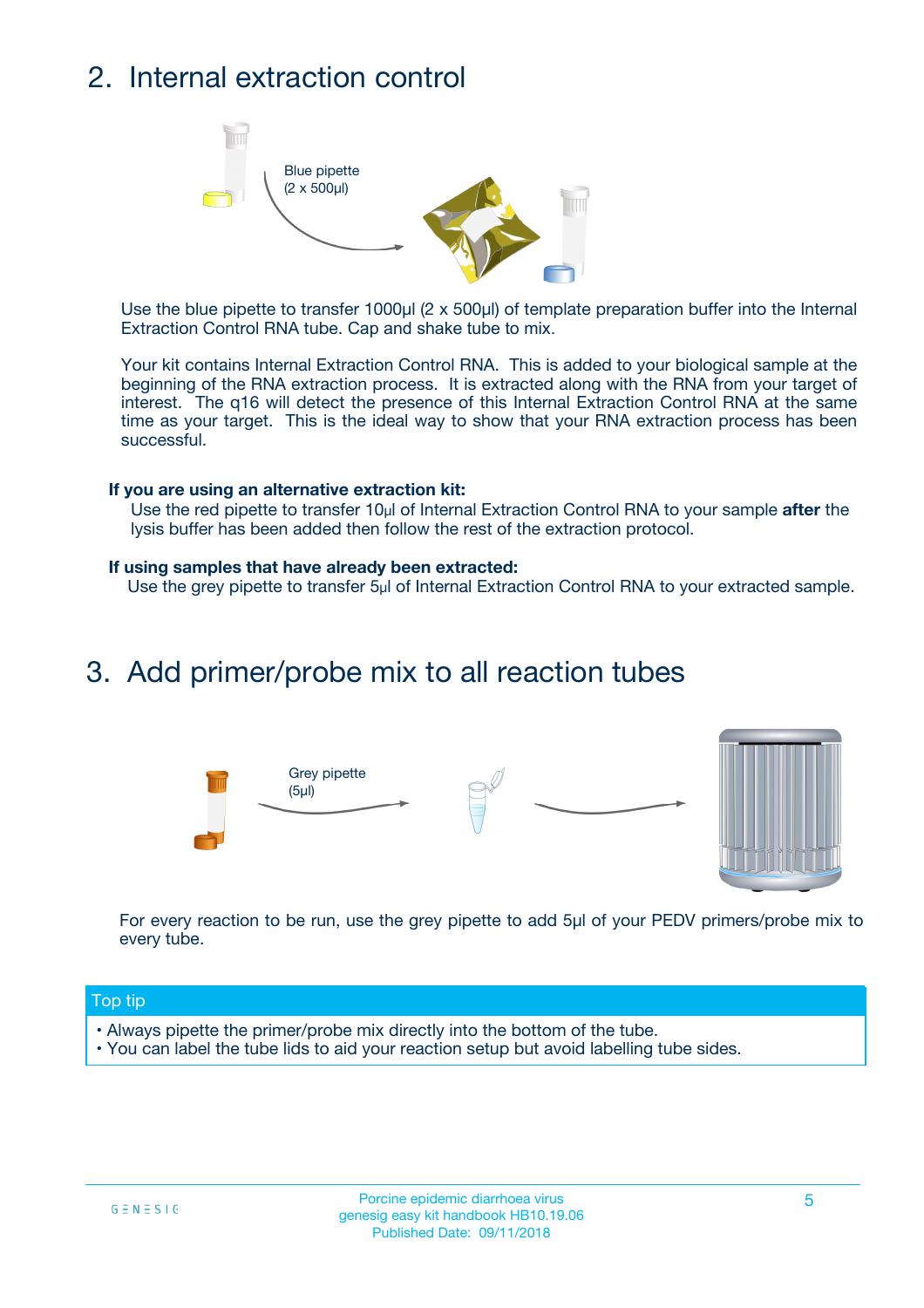## 2. Internal extraction control



Use the blue pipette to transfer 1000µl (2 x 500µl) of template preparation buffer into the Internal Extraction Control RNA tube. Cap and shake tube to mix.

Your kit contains Internal Extraction Control RNA. This is added to your biological sample at the beginning of the RNA extraction process. It is extracted along with the RNA from your target of interest. The q16 will detect the presence of this Internal Extraction Control RNA at the same time as your target. This is the ideal way to show that your RNA extraction process has been successful.

#### **If you are using an alternative extraction kit:**

Use the red pipette to transfer 10µl of Internal Extraction Control RNA to your sample **after** the lysis buffer has been added then follow the rest of the extraction protocol.

#### **If using samples that have already been extracted:**

Use the grey pipette to transfer 5µl of Internal Extraction Control RNA to your extracted sample.

### 3. Add primer/probe mix to all reaction tubes





For every reaction to be run, use the grey pipette to add 5µl of your PEDV primers/probe mix to every tube.

#### Top tip

- Always pipette the primer/probe mix directly into the bottom of the tube.
- You can label the tube lids to aid your reaction setup but avoid labelling tube sides.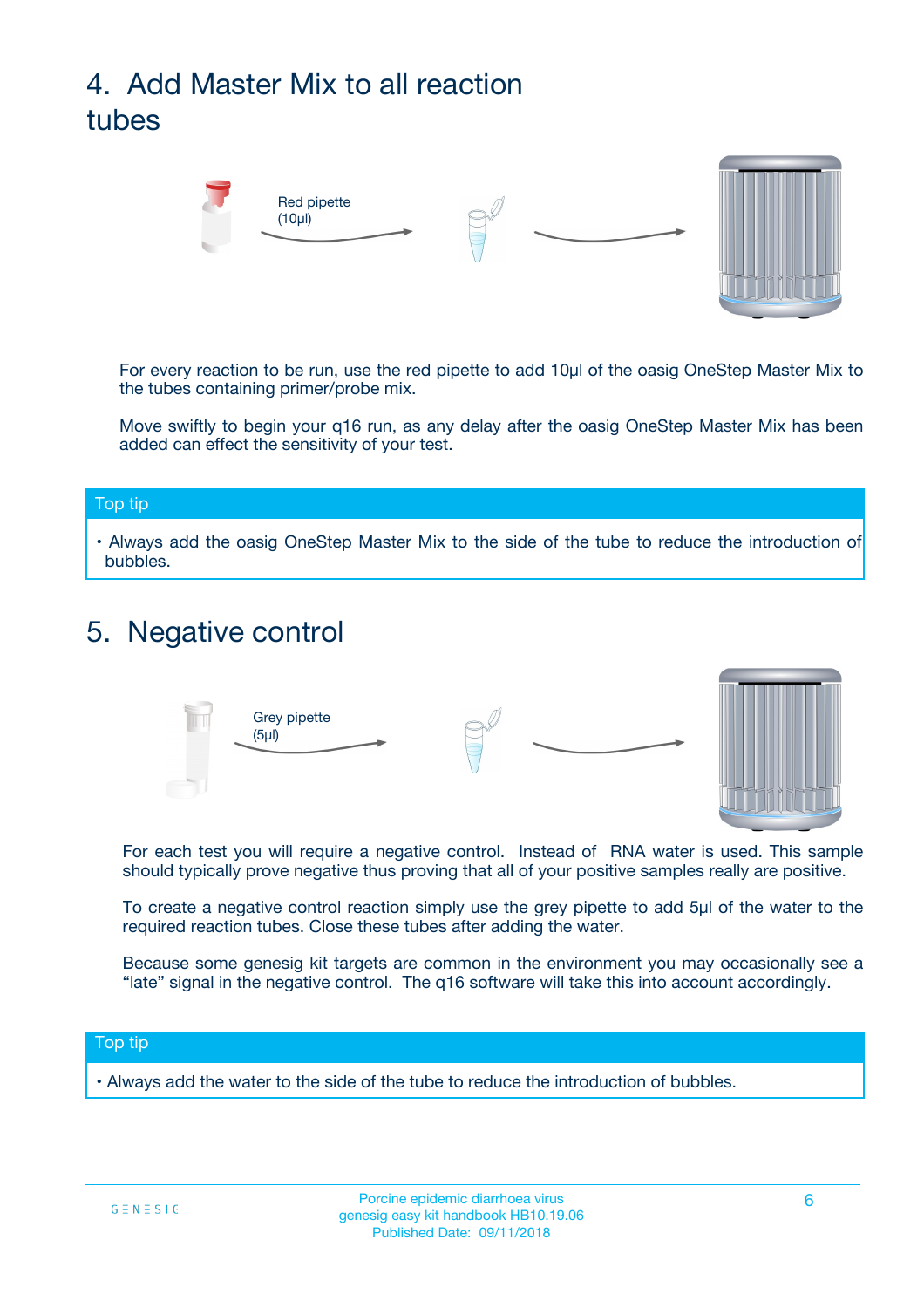## 4. Add Master Mix to all reaction tubes



For every reaction to be run, use the red pipette to add 10µl of the oasig OneStep Master Mix to the tubes containing primer/probe mix.

Move swiftly to begin your q16 run, as any delay after the oasig OneStep Master Mix has been added can effect the sensitivity of your test.

#### Top tip

**•** Always add the oasig OneStep Master Mix to the side of the tube to reduce the introduction of bubbles.

### 5. Negative control



For each test you will require a negative control. Instead of RNA water is used. This sample should typically prove negative thus proving that all of your positive samples really are positive.

To create a negative control reaction simply use the grey pipette to add 5µl of the water to the required reaction tubes. Close these tubes after adding the water.

Because some genesig kit targets are common in the environment you may occasionally see a "late" signal in the negative control. The q16 software will take this into account accordingly.

#### Top tip

**•** Always add the water to the side of the tube to reduce the introduction of bubbles.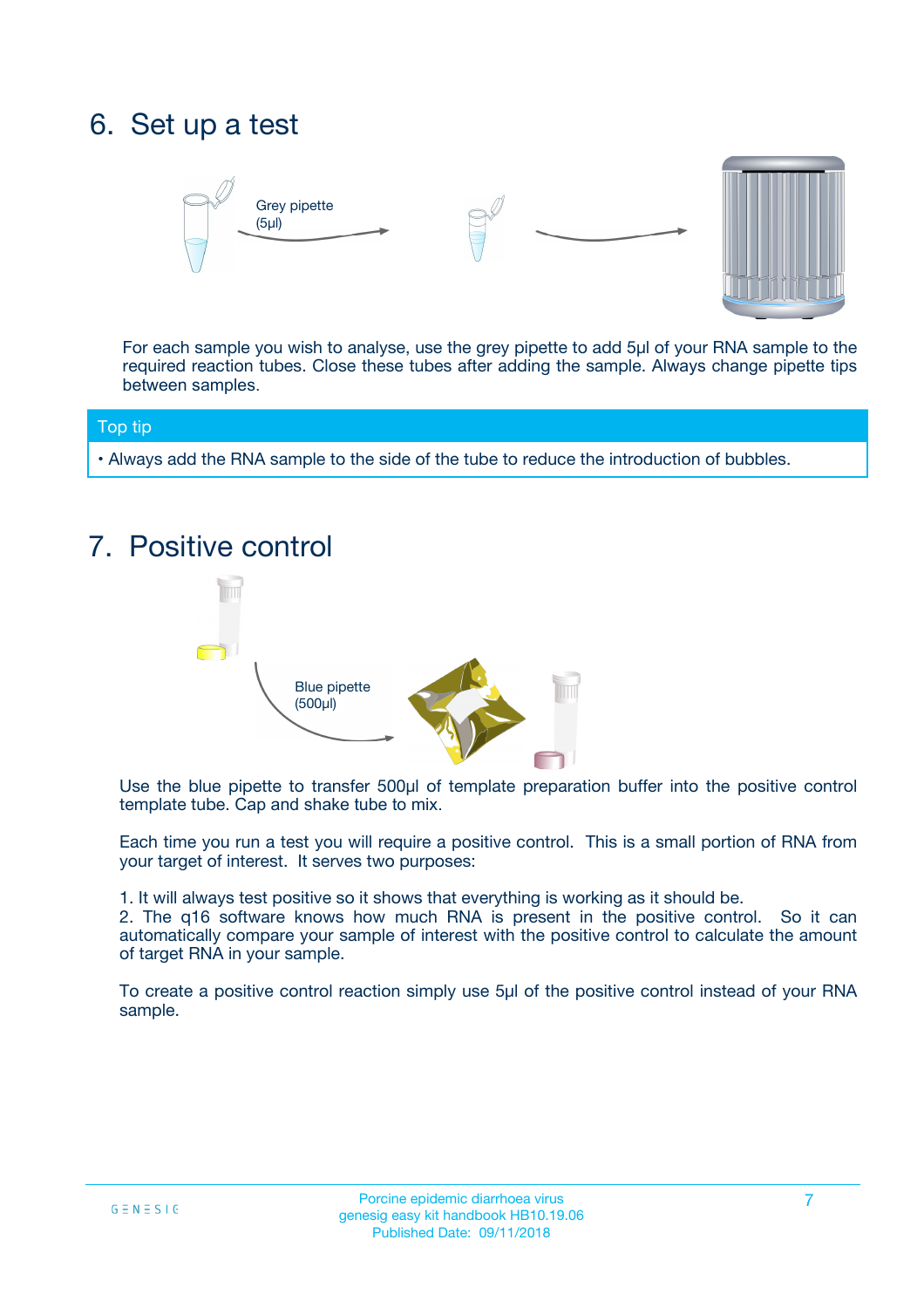### 6. Set up a test





For each sample you wish to analyse, use the grey pipette to add 5µl of your RNA sample to the required reaction tubes. Close these tubes after adding the sample. Always change pipette tips between samples.

#### Top tip

**•** Always add the RNA sample to the side of the tube to reduce the introduction of bubbles.

## 7. Positive control



Use the blue pipette to transfer 500µl of template preparation buffer into the positive control template tube. Cap and shake tube to mix.

Each time you run a test you will require a positive control. This is a small portion of RNA from your target of interest. It serves two purposes:

1. It will always test positive so it shows that everything is working as it should be.

2. The q16 software knows how much RNA is present in the positive control. So it can automatically compare your sample of interest with the positive control to calculate the amount of target RNA in your sample.

To create a positive control reaction simply use 5µl of the positive control instead of your RNA sample.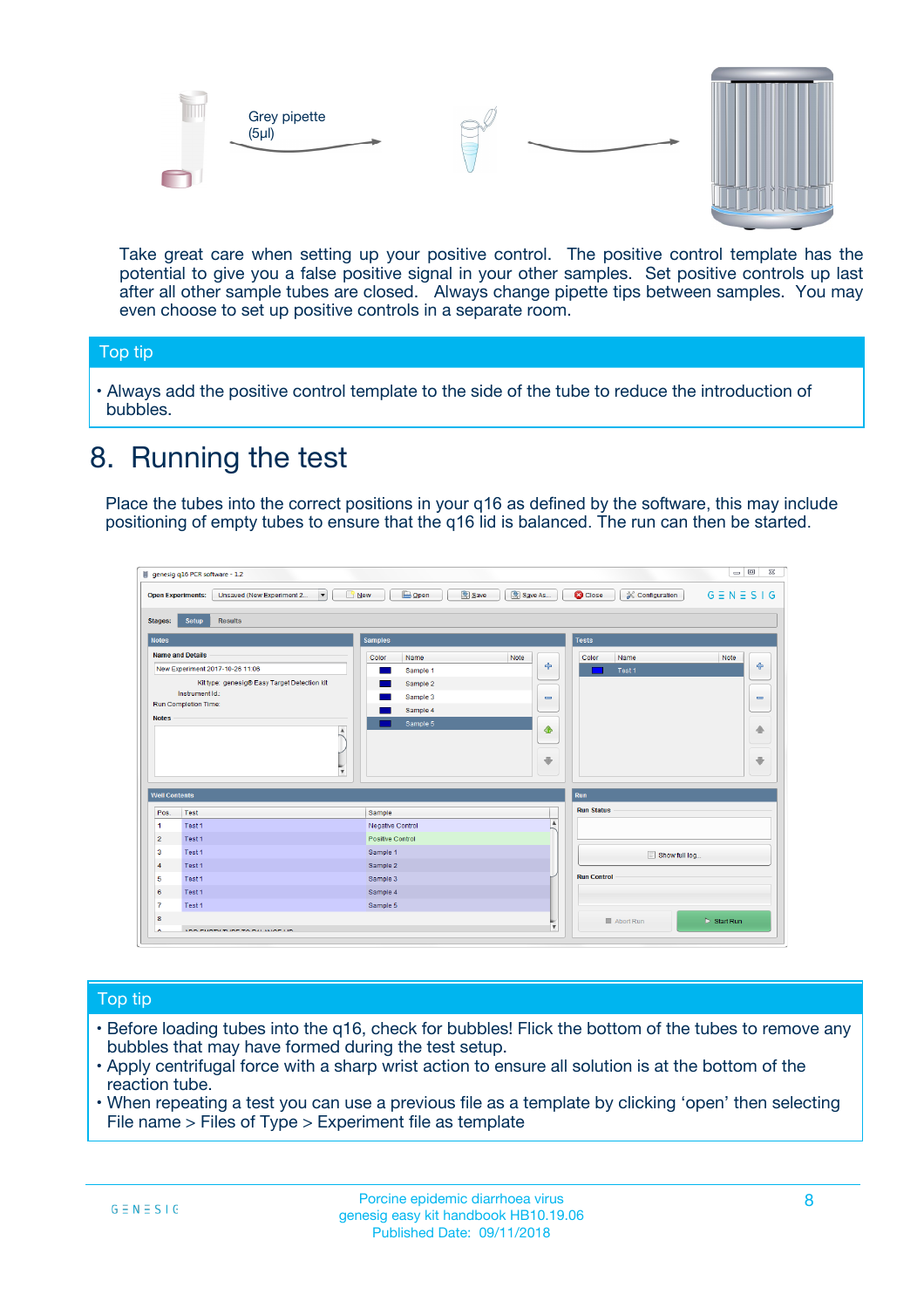



Take great care when setting up your positive control. The positive control template has the potential to give you a false positive signal in your other samples. Set positive controls up last after all other sample tubes are closed. Always change pipette tips between samples. You may even choose to set up positive controls in a separate room.

#### Top tip

**•** Always add the positive control template to the side of the tube to reduce the introduction of bubbles.

### 8. Running the test

Place the tubes into the correct positions in your q16 as defined by the software, this may include positioning of empty tubes to ensure that the q16 lid is balanced. The run can then be started.

|                      | genesig q16 PCR software - 1.2                                               |                                                | $= 0$<br>$\Sigma\!3$                                            |
|----------------------|------------------------------------------------------------------------------|------------------------------------------------|-----------------------------------------------------------------|
|                      | $\vert \cdot \vert$<br>Unsaved (New Experiment 2<br><b>Open Experiments:</b> | <b>E</b> Open<br>Save<br>Save As<br>$\Box$ New | <b>C</b> Close<br>$G \equiv N \equiv S \mid G$<br>Configuration |
| <b>Stages:</b>       | Setup<br><b>Results</b>                                                      |                                                |                                                                 |
| <b>Notes</b>         |                                                                              | <b>Samples</b>                                 | <b>Tests</b>                                                    |
|                      | <b>Name and Details</b>                                                      | Color<br>Note<br>Name                          | Name<br>Note<br>Color                                           |
|                      | New Experiment 2017-10-26 11:06                                              | على<br>Sample 1                                | $\ddot{\Phi}$<br>Test 1                                         |
|                      | Kit type: genesig® Easy Target Detection kit                                 | Sample 2                                       |                                                                 |
| Instrument Id.:      |                                                                              | Sample 3<br>$\equiv$                           | $\equiv$                                                        |
|                      | Run Completion Time:                                                         | Sample 4                                       |                                                                 |
| <b>Notes</b>         | $\blacktriangle$                                                             | Sample 5<br>♦                                  | 4                                                               |
|                      | $\overline{\mathbf{v}}$                                                      | ÷                                              | ⊕                                                               |
| <b>Well Contents</b> |                                                                              |                                                | Run                                                             |
| Pos.                 | Test                                                                         | Sample                                         | <b>Run Status</b>                                               |
| $\blacktriangleleft$ | Test 1                                                                       | $\blacktriangle$<br>Negative Control           |                                                                 |
| $\overline{2}$       | Test 1                                                                       | <b>Positive Control</b>                        |                                                                 |
| 3                    | Test 1                                                                       | Sample 1                                       | Show full log                                                   |
| $\overline{4}$       | Test 1                                                                       | Sample 2                                       |                                                                 |
| 5                    | Test 1                                                                       | Sample 3                                       | <b>Run Control</b>                                              |
| 6                    | Test 1                                                                       | Sample 4                                       |                                                                 |
| $\overline{7}$       | Test 1                                                                       | Sample 5                                       |                                                                 |
| 8                    |                                                                              |                                                | $\triangleright$ Start Run<br>Abort Run                         |
|                      | <b>INN FURTY TURE TO BUILDING UP.</b>                                        | $\pmb{\triangledown}$                          |                                                                 |

#### Top tip

- Before loading tubes into the q16, check for bubbles! Flick the bottom of the tubes to remove any bubbles that may have formed during the test setup.
- Apply centrifugal force with a sharp wrist action to ensure all solution is at the bottom of the reaction tube.
- When repeating a test you can use a previous file as a template by clicking 'open' then selecting File name > Files of Type > Experiment file as template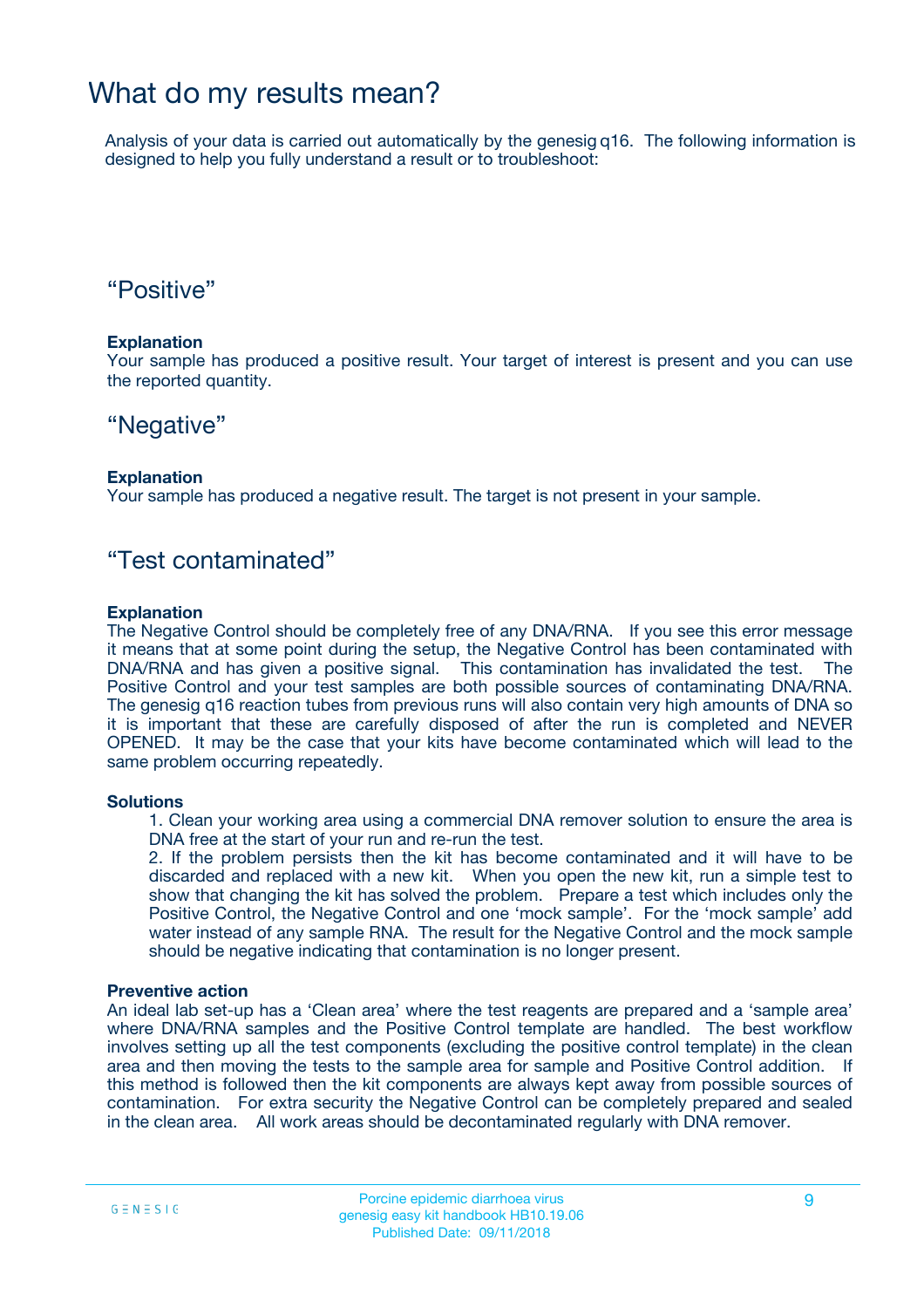### What do my results mean?

Analysis of your data is carried out automatically by the genesig q16. The following information is designed to help you fully understand a result or to troubleshoot:

### "Positive"

#### **Explanation**

Your sample has produced a positive result. Your target of interest is present and you can use the reported quantity.

### "Negative"

#### **Explanation**

Your sample has produced a negative result. The target is not present in your sample.

### "Test contaminated"

#### **Explanation**

The Negative Control should be completely free of any DNA/RNA. If you see this error message it means that at some point during the setup, the Negative Control has been contaminated with DNA/RNA and has given a positive signal. This contamination has invalidated the test. The Positive Control and your test samples are both possible sources of contaminating DNA/RNA. The genesig q16 reaction tubes from previous runs will also contain very high amounts of DNA so it is important that these are carefully disposed of after the run is completed and NEVER OPENED. It may be the case that your kits have become contaminated which will lead to the same problem occurring repeatedly.

#### **Solutions**

1. Clean your working area using a commercial DNA remover solution to ensure the area is DNA free at the start of your run and re-run the test.

2. If the problem persists then the kit has become contaminated and it will have to be discarded and replaced with a new kit. When you open the new kit, run a simple test to show that changing the kit has solved the problem. Prepare a test which includes only the Positive Control, the Negative Control and one 'mock sample'. For the 'mock sample' add water instead of any sample RNA. The result for the Negative Control and the mock sample should be negative indicating that contamination is no longer present.

#### **Preventive action**

An ideal lab set-up has a 'Clean area' where the test reagents are prepared and a 'sample area' where DNA/RNA samples and the Positive Control template are handled. The best workflow involves setting up all the test components (excluding the positive control template) in the clean area and then moving the tests to the sample area for sample and Positive Control addition. If this method is followed then the kit components are always kept away from possible sources of contamination. For extra security the Negative Control can be completely prepared and sealed in the clean area. All work areas should be decontaminated regularly with DNA remover.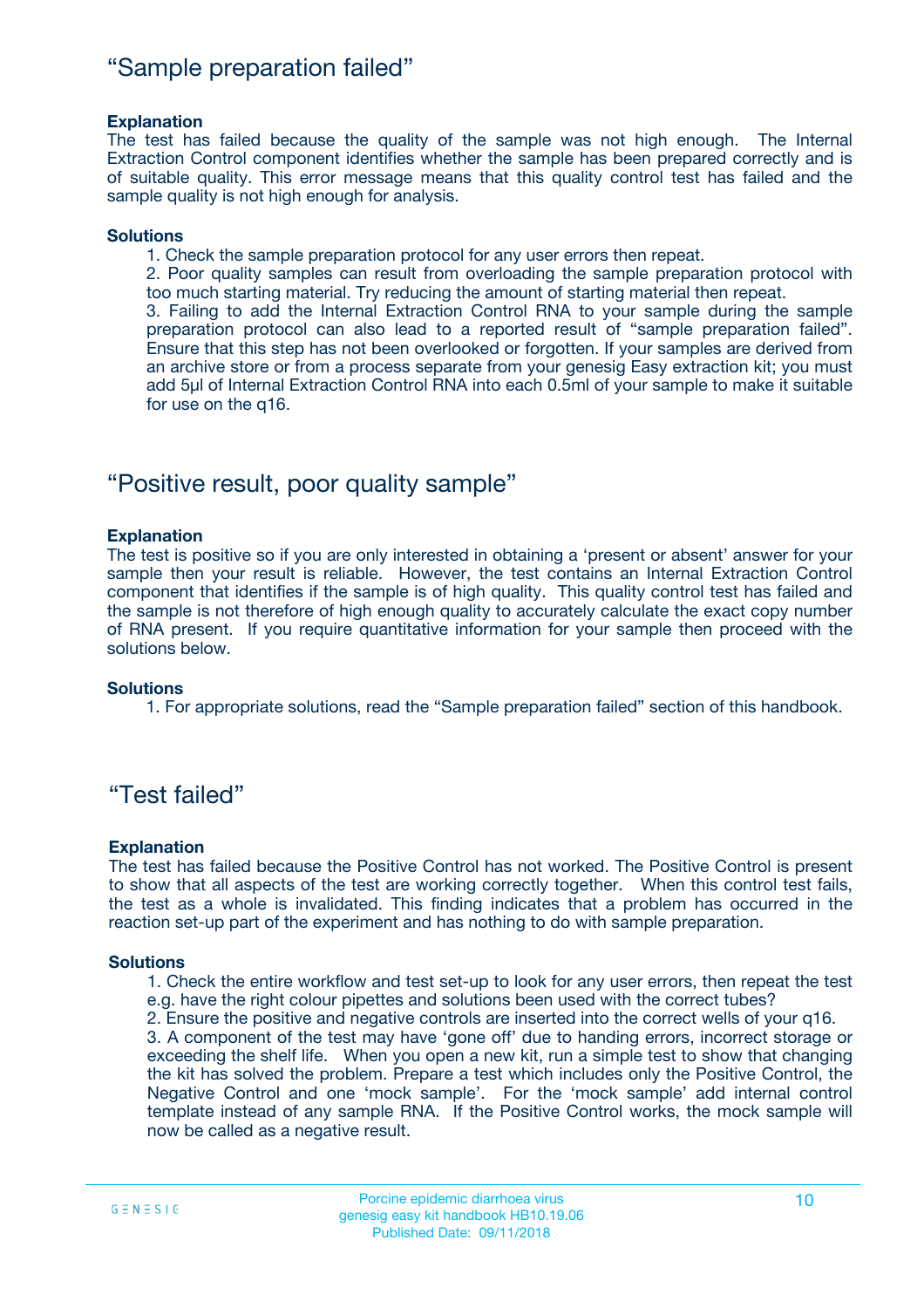### "Sample preparation failed"

#### **Explanation**

The test has failed because the quality of the sample was not high enough. The Internal Extraction Control component identifies whether the sample has been prepared correctly and is of suitable quality. This error message means that this quality control test has failed and the sample quality is not high enough for analysis.

#### **Solutions**

1. Check the sample preparation protocol for any user errors then repeat.

2. Poor quality samples can result from overloading the sample preparation protocol with too much starting material. Try reducing the amount of starting material then repeat.

3. Failing to add the Internal Extraction Control RNA to your sample during the sample preparation protocol can also lead to a reported result of "sample preparation failed". Ensure that this step has not been overlooked or forgotten. If your samples are derived from an archive store or from a process separate from your genesig Easy extraction kit; you must add 5µl of Internal Extraction Control RNA into each 0.5ml of your sample to make it suitable for use on the q16.

### "Positive result, poor quality sample"

#### **Explanation**

The test is positive so if you are only interested in obtaining a 'present or absent' answer for your sample then your result is reliable. However, the test contains an Internal Extraction Control component that identifies if the sample is of high quality. This quality control test has failed and the sample is not therefore of high enough quality to accurately calculate the exact copy number of RNA present. If you require quantitative information for your sample then proceed with the solutions below.

#### **Solutions**

1. For appropriate solutions, read the "Sample preparation failed" section of this handbook.

### "Test failed"

#### **Explanation**

The test has failed because the Positive Control has not worked. The Positive Control is present to show that all aspects of the test are working correctly together. When this control test fails, the test as a whole is invalidated. This finding indicates that a problem has occurred in the reaction set-up part of the experiment and has nothing to do with sample preparation.

#### **Solutions**

- 1. Check the entire workflow and test set-up to look for any user errors, then repeat the test e.g. have the right colour pipettes and solutions been used with the correct tubes?
- 2. Ensure the positive and negative controls are inserted into the correct wells of your q16.

3. A component of the test may have 'gone off' due to handing errors, incorrect storage or exceeding the shelf life. When you open a new kit, run a simple test to show that changing the kit has solved the problem. Prepare a test which includes only the Positive Control, the Negative Control and one 'mock sample'. For the 'mock sample' add internal control template instead of any sample RNA. If the Positive Control works, the mock sample will now be called as a negative result.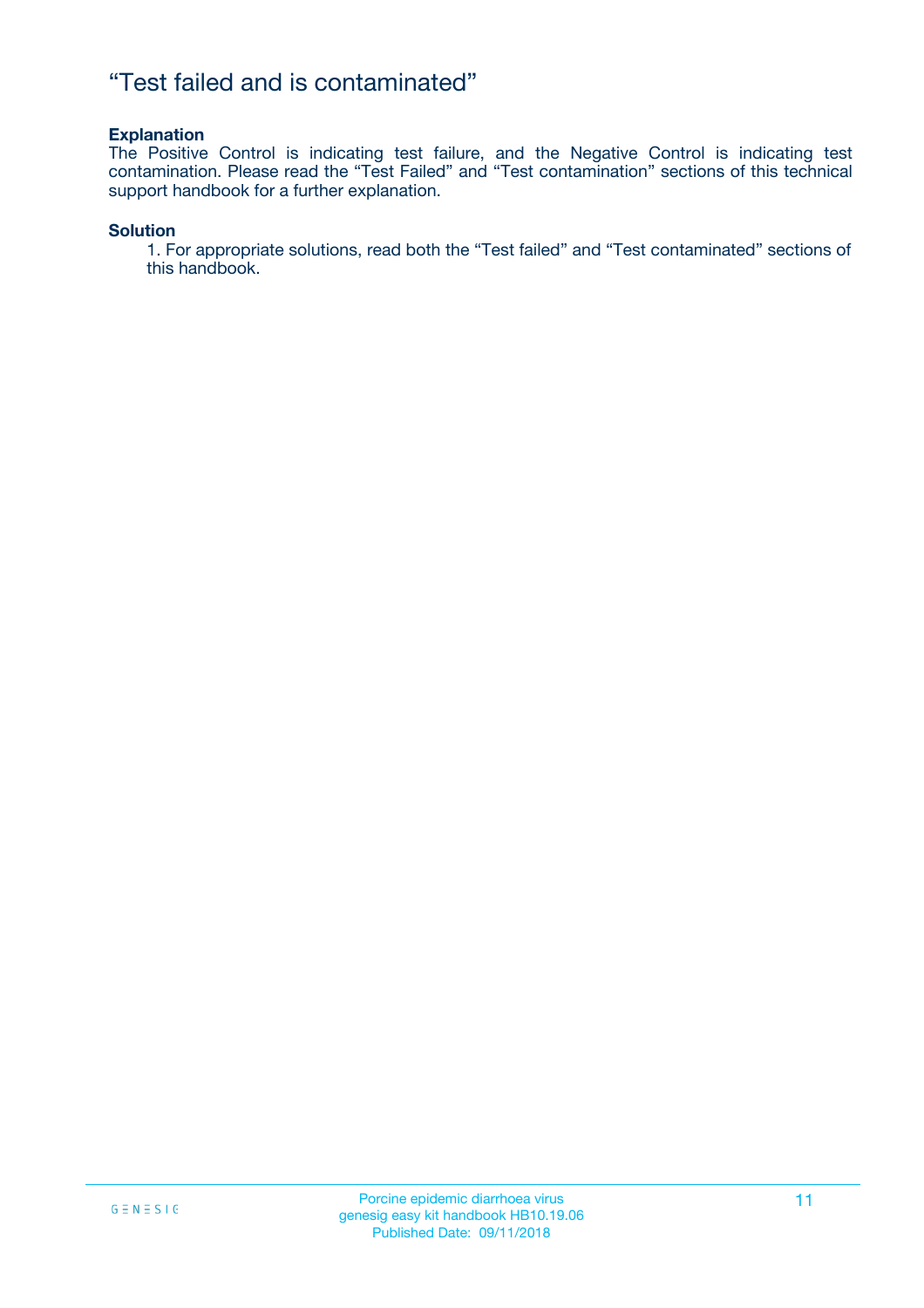### "Test failed and is contaminated"

#### **Explanation**

The Positive Control is indicating test failure, and the Negative Control is indicating test contamination. Please read the "Test Failed" and "Test contamination" sections of this technical support handbook for a further explanation.

#### **Solution**

1. For appropriate solutions, read both the "Test failed" and "Test contaminated" sections of this handbook.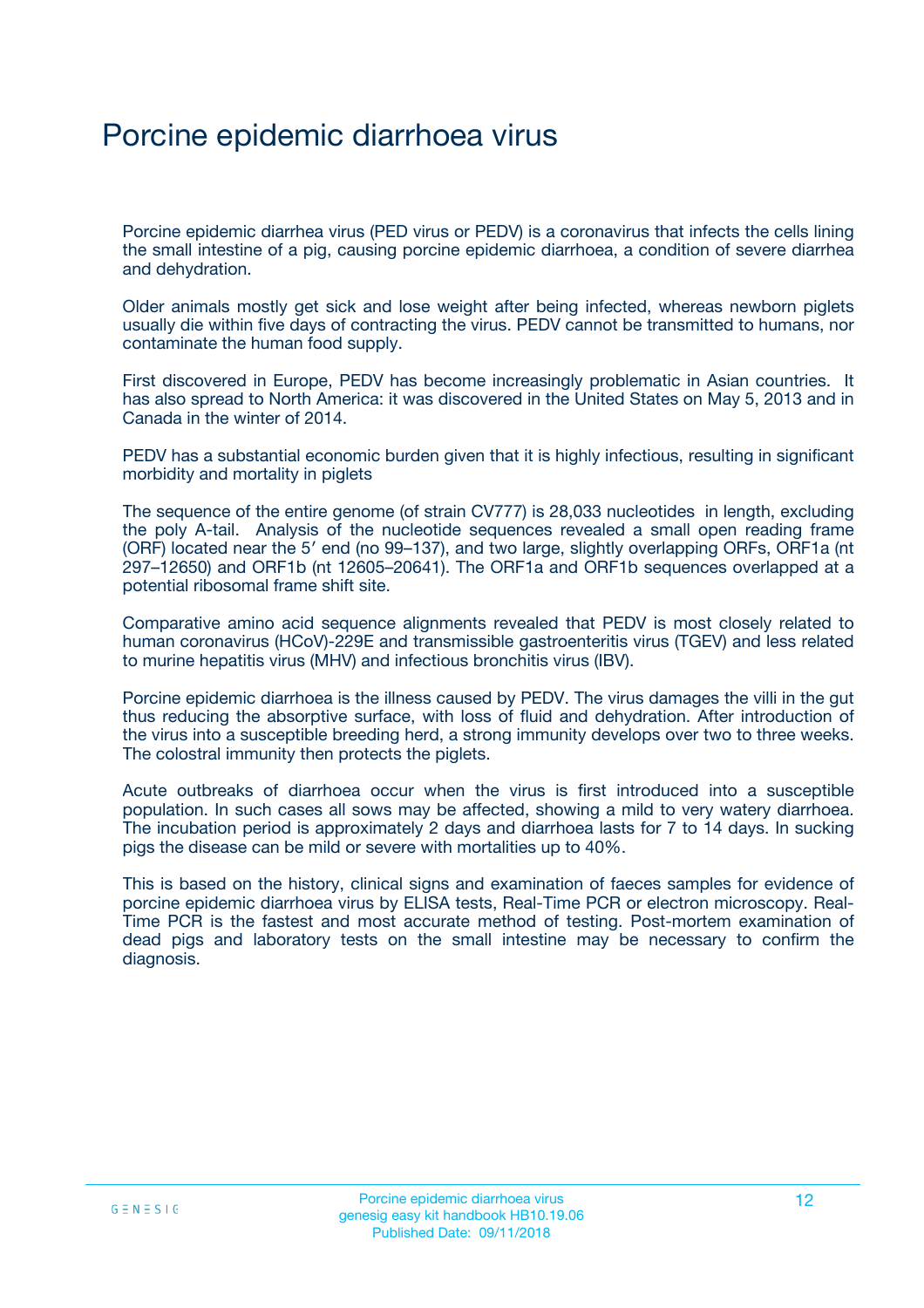## Porcine epidemic diarrhoea virus

Porcine epidemic diarrhea virus (PED virus or PEDV) is a coronavirus that infects the cells lining the small intestine of a pig, causing porcine epidemic diarrhoea, a condition of severe diarrhea and dehydration.

Older animals mostly get sick and lose weight after being infected, whereas newborn piglets usually die within five days of contracting the virus. PEDV cannot be transmitted to humans, nor contaminate the human food supply.

First discovered in Europe, PEDV has become increasingly problematic in Asian countries. It has also spread to North America: it was discovered in the United States on May 5, 2013 and in Canada in the winter of 2014.

PEDV has a substantial economic burden given that it is highly infectious, resulting in significant morbidity and mortality in piglets

The sequence of the entire genome (of strain CV777) is 28,033 nucleotides in length, excluding the poly A-tail. Analysis of the nucleotide sequences revealed a small open reading frame (ORF) located near the 5′ end (no 99–137), and two large, slightly overlapping ORFs, ORF1a (nt 297–12650) and ORF1b (nt 12605–20641). The ORF1a and ORF1b sequences overlapped at a potential ribosomal frame shift site.

Comparative amino acid sequence alignments revealed that PEDV is most closely related to human coronavirus (HCoV)-229E and transmissible gastroenteritis virus (TGEV) and less related to murine hepatitis virus (MHV) and infectious bronchitis virus (IBV).

Porcine epidemic diarrhoea is the illness caused by PEDV. The virus damages the villi in the gut thus reducing the absorptive surface, with loss of fluid and dehydration. After introduction of the virus into a susceptible breeding herd, a strong immunity develops over two to three weeks. The colostral immunity then protects the piglets.

Acute outbreaks of diarrhoea occur when the virus is first introduced into a susceptible population. In such cases all sows may be affected, showing a mild to very watery diarrhoea. The incubation period is approximately 2 days and diarrhoea lasts for 7 to 14 days. In sucking pigs the disease can be mild or severe with mortalities up to 40%.

This is based on the history, clinical signs and examination of faeces samples for evidence of porcine epidemic diarrhoea virus by ELISA tests, Real-Time PCR or electron microscopy. Real-Time PCR is the fastest and most accurate method of testing. Post-mortem examination of dead pigs and laboratory tests on the small intestine may be necessary to confirm the diagnosis.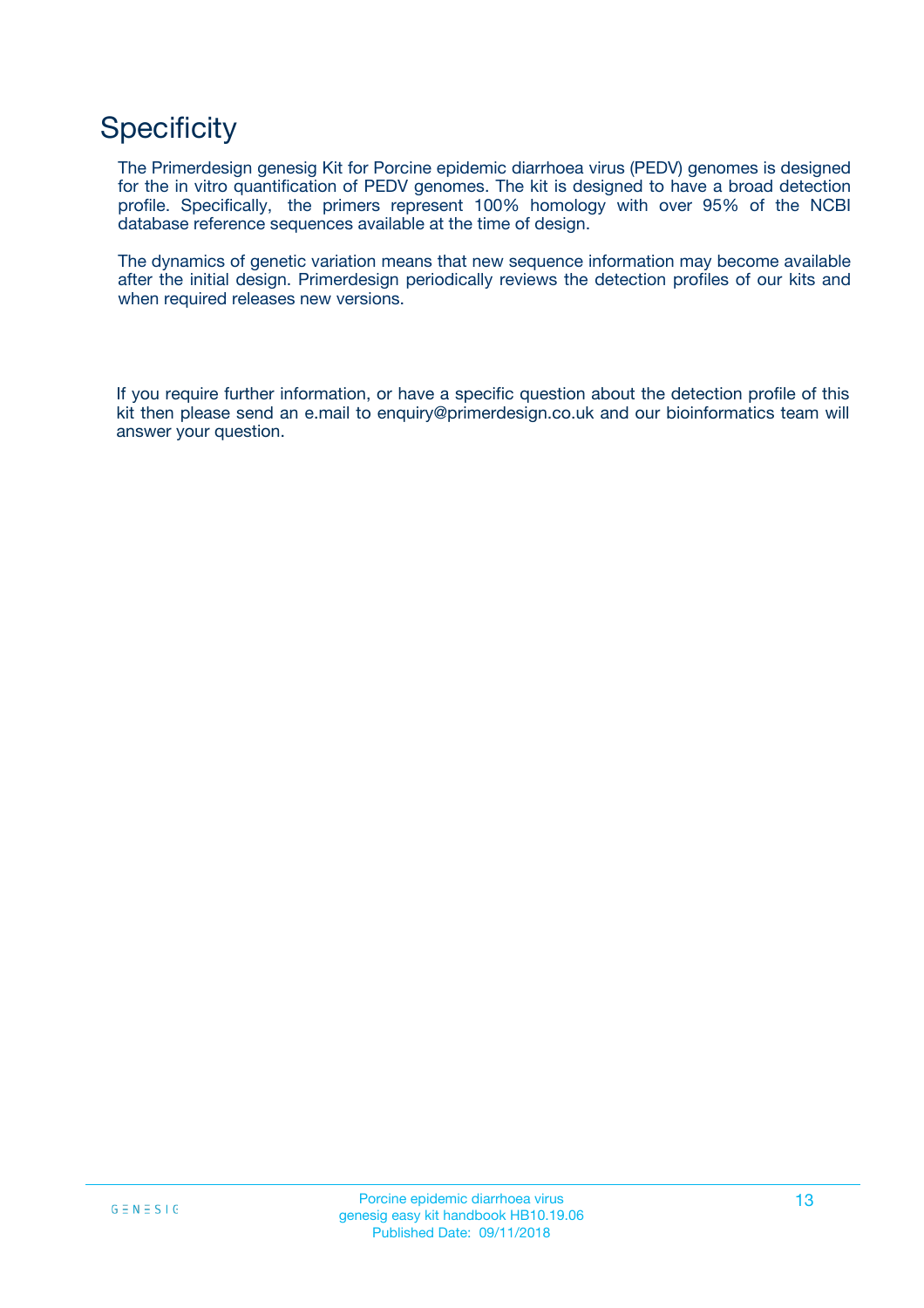## **Specificity**

The Primerdesign genesig Kit for Porcine epidemic diarrhoea virus (PEDV) genomes is designed for the in vitro quantification of PEDV genomes. The kit is designed to have a broad detection profile. Specifically, the primers represent 100% homology with over 95% of the NCBI database reference sequences available at the time of design.

The dynamics of genetic variation means that new sequence information may become available after the initial design. Primerdesign periodically reviews the detection profiles of our kits and when required releases new versions.

If you require further information, or have a specific question about the detection profile of this kit then please send an e.mail to enquiry@primerdesign.co.uk and our bioinformatics team will answer your question.